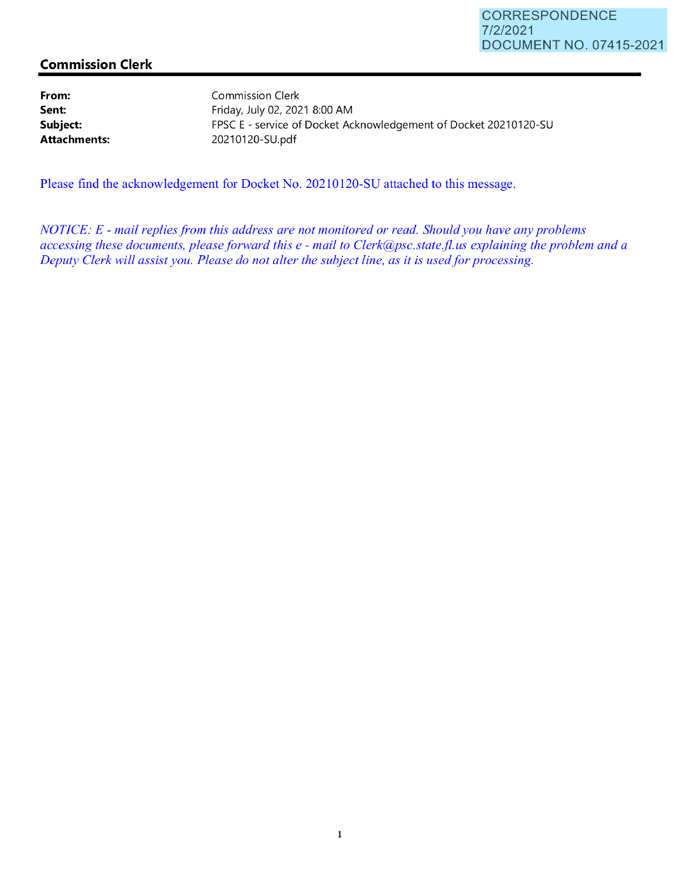## **Commission Clerk**

**From: Sent: Subject: Attachments:**  Commission Clerk Friday, July 02, 2021 8:00 **AM**  FPSC E - service of Docket Acknowledgement of Docket 20210120-SU 20210120-SU.pdf

Please find the acknowledgement for Docket No. 20210120-SU attached to this message.

*NOTICE: E* - *mail replies from this address are not monitored or read. Should you have any problems accessing these documents, please forward this e* - *mail to Clerk@psc.state.jl.us explaining the problem and a Deputy Clerk will assist you. Please do not alter the subject line, as it is used for processing.*